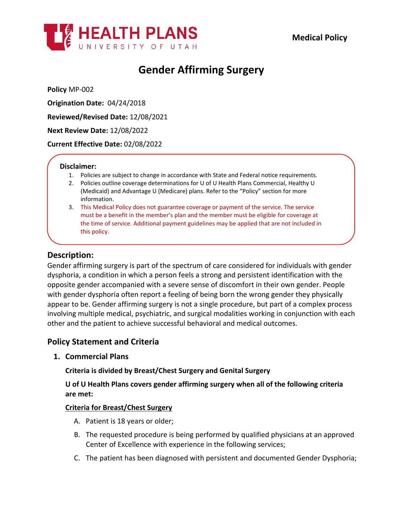

# **Gender Affirming Surgery**

**Policy** MP-002

**Origination Date:** 04/24/2018

**Reviewed/Revised Date:** 12/08/2021

**Next Review Date:** 12/08/2022

**Current Effective Date:** 02/08/2022

#### **Disclaimer:**

- 1. Policies are subject to change in accordance with State and Federal notice requirements.
- 2. Policies outline coverage determinations for U of U Health Plans Commercial, Healthy U (Medicaid) and Advantage U (Medicare) plans. Refer to the "Policy" section for more information.
- 3. This Medical Policy does not guarantee coverage or payment of the service. The service must be a benefit in the member's plan and the member must be eligible for coverage at the time of service. Additional payment guidelines may be applied that are not included in this policy.

## **Description:**

Gender affirming surgery is part of the spectrum of care considered for individuals with gender dysphoria, a condition in which a person feels a strong and persistent identification with the opposite gender accompanied with a severe sense of discomfort in their own gender. People with gender dysphoria often report a feeling of being born the wrong gender they physically appear to be. Gender affirming surgery is not a single procedure, but part of a complex process involving multiple medical, psychiatric, and surgical modalities working in conjunction with each other and the patient to achieve successful behavioral and medical outcomes.

## **Policy Statement and Criteria**

**1. Commercial Plans**

**Criteria is divided by Breast/Chest Surgery and Genital Surgery**

**U of U Health Plans covers gender affirming surgery when all of the following criteria are met:**

#### **Criteria for Breast/Chest Surgery**

- A. Patient is 18 years or older;
- B. The requested procedure is being performed by qualified physicians at an approved Center of Excellence with experience in the following services;
- C. The patient has been diagnosed with persistent and documented Gender Dysphoria;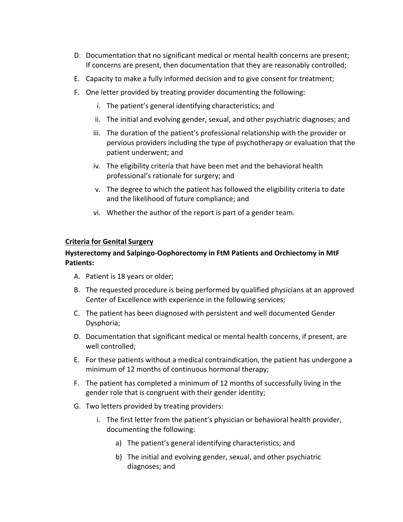- D. Documentation that no significant medical or mental health concerns are present; If concerns are present, then documentation that they are reasonably controlled;
- E. Capacity to make a fully informed decision and to give consent for treatment;
- F. One letter provided by treating provider documenting the following:
	- i. The patient's general identifying characteristics; and
	- ii. The initial and evolving gender, sexual, and other psychiatric diagnoses; and
	- iii. The duration of the patient's professional relationship with the provider or pervious providers including the type of psychotherapy or evaluation that the patient underwent; and
	- iv. The eligibility criteria that have been met and the behavioral health professional's rationale for surgery; and
	- v. The degree to which the patient has followed the eligibility criteria to date and the likelihood of future compliance; and
	- vi. Whether the author of the report is part of a gender team.

#### **Criteria for Genital Surgery**

## **Hysterectomy and Salpingo-Oophorectomy in FtM Patients and Orchiectomy in MtF Patients:**

- A. Patient is 18 years or older;
- B. The requested procedure is being performed by qualified physicians at an approved Center of Excellence with experience in the following services;
- C. The patient has been diagnosed with persistent and well documented Gender Dysphoria;
- D. Documentation that significant medical or mental health concerns, if present, are well controlled;
- E. For these patients without a medical contraindication, the patient has undergone a minimum of 12 months of continuous hormonal therapy;
- F. The patient has completed a minimum of 12 months of successfully living in the gender role that is congruent with their gender identity;
- G. Two letters provided by treating providers:
	- i. The first letter from the patient's physician or behavioral health provider, documenting the following:
		- a) The patient's general identifying characteristics; and
		- b) The initial and evolving gender, sexual, and other psychiatric diagnoses; and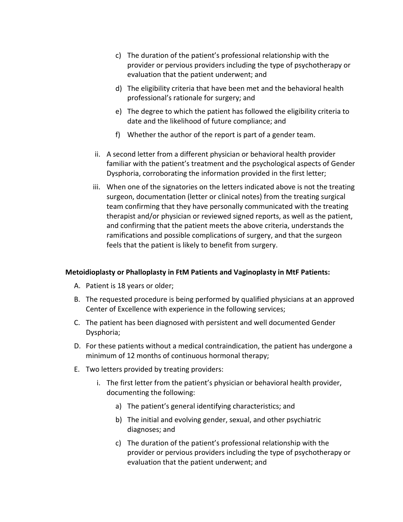- c) The duration of the patient's professional relationship with the provider or pervious providers including the type of psychotherapy or evaluation that the patient underwent; and
- d) The eligibility criteria that have been met and the behavioral health professional's rationale for surgery; and
- e) The degree to which the patient has followed the eligibility criteria to date and the likelihood of future compliance; and
- f) Whether the author of the report is part of a gender team.
- ii. A second letter from a different physician or behavioral health provider familiar with the patient's treatment and the psychological aspects of Gender Dysphoria, corroborating the information provided in the first letter;
- iii. When one of the signatories on the letters indicated above is not the treating surgeon, documentation (letter or clinical notes) from the treating surgical team confirming that they have personally communicated with the treating therapist and/or physician or reviewed signed reports, as well as the patient, and confirming that the patient meets the above criteria, understands the ramifications and possible complications of surgery, and that the surgeon feels that the patient is likely to benefit from surgery.

#### **Metoidioplasty or Phalloplasty in FtM Patients and Vaginoplasty in MtF Patients:**

- A. Patient is 18 years or older;
- B. The requested procedure is being performed by qualified physicians at an approved Center of Excellence with experience in the following services;
- C. The patient has been diagnosed with persistent and well documented Gender Dysphoria;
- D. For these patients without a medical contraindication, the patient has undergone a minimum of 12 months of continuous hormonal therapy;
- E. Two letters provided by treating providers:
	- i. The first letter from the patient's physician or behavioral health provider, documenting the following:
		- a) The patient's general identifying characteristics; and
		- b) The initial and evolving gender, sexual, and other psychiatric diagnoses; and
		- c) The duration of the patient's professional relationship with the provider or pervious providers including the type of psychotherapy or evaluation that the patient underwent; and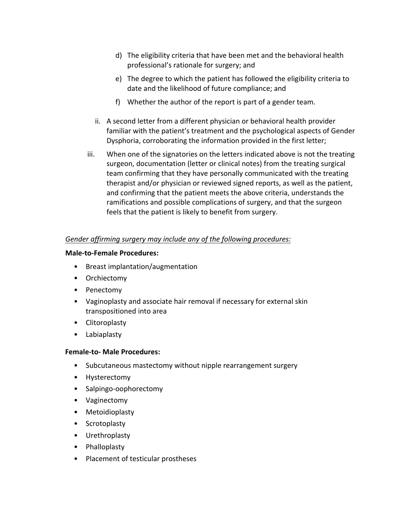- d) The eligibility criteria that have been met and the behavioral health professional's rationale for surgery; and
- e) The degree to which the patient has followed the eligibility criteria to date and the likelihood of future compliance; and
- f) Whether the author of the report is part of a gender team.
- ii. A second letter from a different physician or behavioral health provider familiar with the patient's treatment and the psychological aspects of Gender Dysphoria, corroborating the information provided in the first letter;
- iii. When one of the signatories on the letters indicated above is not the treating surgeon, documentation (letter or clinical notes) from the treating surgical team confirming that they have personally communicated with the treating therapist and/or physician or reviewed signed reports, as well as the patient, and confirming that the patient meets the above criteria, understands the ramifications and possible complications of surgery, and that the surgeon feels that the patient is likely to benefit from surgery.

## *Gender affirming surgery may include any of the following procedures:*

#### **Male-to-Female Procedures:**

- Breast implantation/augmentation
- Orchiectomy
- Penectomy
- Vaginoplasty and associate hair removal if necessary for external skin transpositioned into area
- Clitoroplasty
- Labiaplasty

## **Female-to- Male Procedures:**

- Subcutaneous mastectomy without nipple rearrangement surgery
- Hysterectomy
- Salpingo-oophorectomy
- Vaginectomy
- Metoidioplasty
- Scrotoplasty
- Urethroplasty
- Phalloplasty
- Placement of testicular prostheses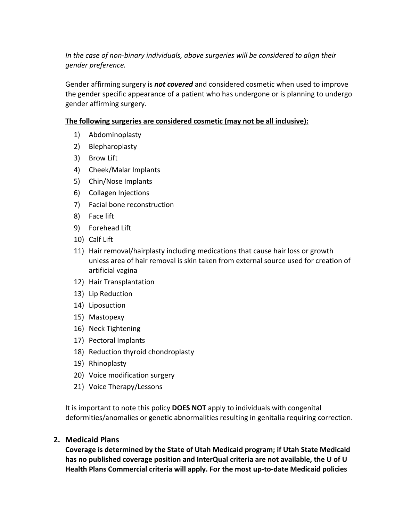*In the case of non-binary individuals, above surgeries will be considered to align their gender preference.*

Gender affirming surgery is *not covered* and considered cosmetic when used to improve the gender specific appearance of a patient who has undergone or is planning to undergo gender affirming surgery.

## **The following surgeries are considered cosmetic (may not be all inclusive):**

- 1) Abdominoplasty
- 2) Blepharoplasty
- 3) Brow Lift
- 4) Cheek/Malar Implants
- 5) Chin/Nose Implants
- 6) Collagen Injections
- 7) Facial bone reconstruction
- 8) Face lift
- 9) Forehead Lift
- 10) Calf Lift
- 11) Hair removal/hairplasty including medications that cause hair loss or growth unless area of hair removal is skin taken from external source used for creation of artificial vagina
- 12) Hair Transplantation
- 13) Lip Reduction
- 14) Liposuction
- 15) Mastopexy
- 16) Neck Tightening
- 17) Pectoral Implants
- 18) Reduction thyroid chondroplasty
- 19) Rhinoplasty
- 20) Voice modification surgery
- 21) Voice Therapy/Lessons

It is important to note this policy **DOES NOT** apply to individuals with congenital deformities/anomalies or genetic abnormalities resulting in genitalia requiring correction.

### **2. Medicaid Plans**

**Coverage is determined by the State of Utah Medicaid program; if Utah State Medicaid has no published coverage position and InterQual criteria are not available, the U of U Health Plans Commercial criteria will apply. For the most up-to-date Medicaid policies**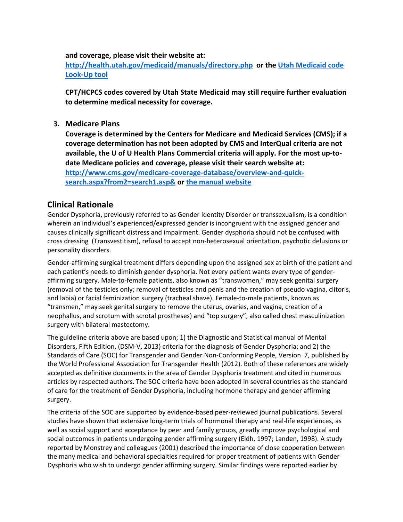#### **and coverage, please visit their website at:**

**<http://health.utah.gov/medicaid/manuals/directory.php> or the [Utah Medicaid code](https://health.utah.gov/stplan/lookup/CoverageLookup.php)  [Look-Up tool](https://health.utah.gov/stplan/lookup/CoverageLookup.php)**

**CPT/HCPCS codes covered by Utah State Medicaid may still require further evaluation to determine medical necessity for coverage.**

**3. Medicare Plans**

**Coverage is determined by the Centers for Medicare and Medicaid Services (CMS); if a coverage determination has not been adopted by CMS and InterQual criteria are not available, the U of U Health Plans Commercial criteria will apply. For the most up-todate Medicare policies and coverage, please visit their search website at: [http://www.cms.gov/medicare-coverage-database/overview-and-quick](http://www.cms.gov/medicare-coverage-database/overview-and-quick-search.aspx?from2=search1.asp&)[search.aspx?from2=search1.asp&](http://www.cms.gov/medicare-coverage-database/overview-and-quick-search.aspx?from2=search1.asp&) or [the manual website](https://www.cms.gov/Regulations-and-Guidance/Guidance/Manuals/Internet-Only-Manuals-IOMs)**

## **Clinical Rationale**

Gender Dysphoria, previously referred to as Gender Identity Disorder or transsexualism, is a condition wherein an individual's experienced/expressed gender is incongruent with the assigned gender and causes clinically significant distress and impairment. Gender dysphoria should not be confused with cross dressing (Transvestitism), refusal to accept non-heterosexual orientation, psychotic delusions or personality disorders.

Gender-affirming surgical treatment differs depending upon the assigned sex at birth of the patient and each patient's needs to diminish gender dysphoria. Not every patient wants every type of genderaffirming surgery. Male-to-female patients, also known as "transwomen," may seek genital surgery (removal of the testicles only; removal of testicles and penis and the creation of pseudo vagina, clitoris, and labia) or facial feminization surgery (tracheal shave). Female-to-male patients, known as "transmen," may seek genital surgery to remove the uterus, ovaries, and vagina, creation of a neophallus, and scrotum with scrotal prostheses) and "top surgery", also called chest masculinization surgery with bilateral mastectomy.

The guideline criteria above are based upon; 1) the Diagnostic and Statistical manual of Mental Disorders, Fifth Edition, (DSM-V, 2013) criteria for the diagnosis of Gender Dysphoria; and 2) the Standards of Care (SOC) for Transgender and Gender Non-Conforming People, Version 7, published by the World Professional Association for Transgender Health (2012). Both of these references are widely accepted as definitive documents in the area of Gender Dysphoria treatment and cited in numerous articles by respected authors. The SOC criteria have been adopted in several countries as the standard of care for the treatment of Gender Dysphoria, including hormone therapy and gender affirming surgery.

The criteria of the SOC are supported by evidence-based peer-reviewed journal publications. Several studies have shown that extensive long-term trials of hormonal therapy and real-life experiences, as well as social support and acceptance by peer and family groups, greatly improve psychological and social outcomes in patients undergoing gender affirming surgery (Eldh, 1997; Landen, 1998). A study reported by Monstrey and colleagues (2001) described the importance of close cooperation between the many medical and behavioral specialties required for proper treatment of patients with Gender Dysphoria who wish to undergo gender affirming surgery. Similar findings were reported earlier by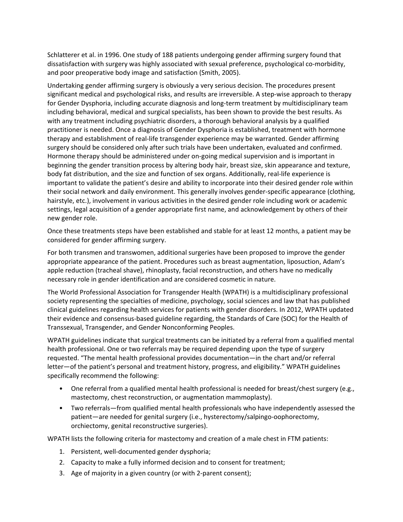Schlatterer et al. in 1996. One study of 188 patients undergoing gender affirming surgery found that dissatisfaction with surgery was highly associated with sexual preference, psychological co-morbidity, and poor preoperative body image and satisfaction (Smith, 2005).

Undertaking gender affirming surgery is obviously a very serious decision. The procedures present significant medical and psychological risks, and results are irreversible. A step-wise approach to therapy for Gender Dysphoria, including accurate diagnosis and long-term treatment by multidisciplinary team including behavioral, medical and surgical specialists, has been shown to provide the best results. As with any treatment including psychiatric disorders, a thorough behavioral analysis by a qualified practitioner is needed. Once a diagnosis of Gender Dysphoria is established, treatment with hormone therapy and establishment of real-life transgender experience may be warranted. Gender affirming surgery should be considered only after such trials have been undertaken, evaluated and confirmed. Hormone therapy should be administered under on-going medical supervision and is important in beginning the gender transition process by altering body hair, breast size, skin appearance and texture, body fat distribution, and the size and function of sex organs. Additionally, real-life experience is important to validate the patient's desire and ability to incorporate into their desired gender role within their social network and daily environment. This generally involves gender-specific appearance (clothing, hairstyle, etc.), involvement in various activities in the desired gender role including work or academic settings, legal acquisition of a gender appropriate first name, and acknowledgement by others of their new gender role.

Once these treatments steps have been established and stable for at least 12 months, a patient may be considered for gender affirming surgery.

For both transmen and transwomen, additional surgeries have been proposed to improve the gender appropriate appearance of the patient. Procedures such as breast augmentation, liposuction, Adam's apple reduction (tracheal shave), rhinoplasty, facial reconstruction, and others have no medically necessary role in gender identification and are considered cosmetic in nature.

The World Professional Association for Transgender Health (WPATH) is a multidisciplinary professional society representing the specialties of medicine, psychology, social sciences and law that has published clinical guidelines regarding health services for patients with gender disorders. In 2012, WPATH updated their evidence and consensus-based guideline regarding, the Standards of Care (SOC) for the Health of Transsexual, Transgender, and Gender Nonconforming Peoples.

WPATH guidelines indicate that surgical treatments can be initiated by a referral from a qualified mental health professional. One or two referrals may be required depending upon the type of surgery requested. "The mental health professional provides documentation—in the chart and/or referral letter—of the patient's personal and treatment history, progress, and eligibility." WPATH guidelines specifically recommend the following:

- One referral from a qualified mental health professional is needed for breast/chest surgery (e.g., mastectomy, chest reconstruction, or augmentation mammoplasty).
- Two referrals—from qualified mental health professionals who have independently assessed the patient—are needed for genital surgery (i.e., hysterectomy/salpingo-oophorectomy, orchiectomy, genital reconstructive surgeries).

WPATH lists the following criteria for mastectomy and creation of a male chest in FTM patients:

- 1. Persistent, well-documented gender dysphoria;
- 2. Capacity to make a fully informed decision and to consent for treatment;
- 3. Age of majority in a given country (or with 2-parent consent);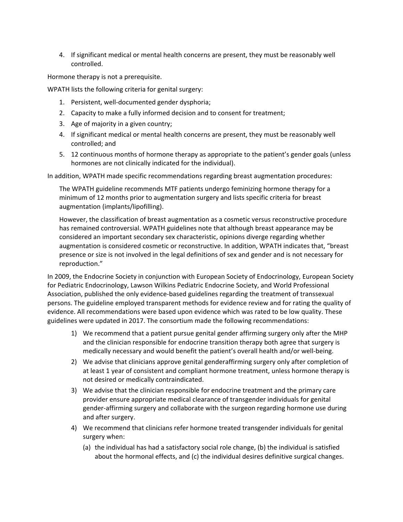4. If significant medical or mental health concerns are present, they must be reasonably well controlled.

Hormone therapy is not a prerequisite.

WPATH lists the following criteria for genital surgery:

- 1. Persistent, well-documented gender dysphoria;
- 2. Capacity to make a fully informed decision and to consent for treatment;
- 3. Age of majority in a given country;
- 4. If significant medical or mental health concerns are present, they must be reasonably well controlled; and
- 5. 12 continuous months of hormone therapy as appropriate to the patient's gender goals (unless hormones are not clinically indicated for the individual).

In addition, WPATH made specific recommendations regarding breast augmentation procedures:

The WPATH guideline recommends MTF patients undergo feminizing hormone therapy for a minimum of 12 months prior to augmentation surgery and lists specific criteria for breast augmentation (implants/lipofilling).

However, the classification of breast augmentation as a cosmetic versus reconstructive procedure has remained controversial. WPATH guidelines note that although breast appearance may be considered an important secondary sex characteristic, opinions diverge regarding whether augmentation is considered cosmetic or reconstructive. In addition, WPATH indicates that, "breast presence or size is not involved in the legal definitions of sex and gender and is not necessary for reproduction."

In 2009, the Endocrine Society in conjunction with European Society of Endocrinology, European Society for Pediatric Endocrinology, Lawson Wilkins Pediatric Endocrine Society, and World Professional Association, published the only evidence-based guidelines regarding the treatment of transsexual persons. The guideline employed transparent methods for evidence review and for rating the quality of evidence. All recommendations were based upon evidence which was rated to be low quality. These guidelines were updated in 2017. The consortium made the following recommendations:

- 1) We recommend that a patient pursue genital gender affirming surgery only after the MHP and the clinician responsible for endocrine transition therapy both agree that surgery is medically necessary and would benefit the patient's overall health and/or well-being.
- 2) We advise that clinicians approve genital genderaffirming surgery only after completion of at least 1 year of consistent and compliant hormone treatment, unless hormone therapy is not desired or medically contraindicated.
- 3) We advise that the clinician responsible for endocrine treatment and the primary care provider ensure appropriate medical clearance of transgender individuals for genital gender-affirming surgery and collaborate with the surgeon regarding hormone use during and after surgery.
- 4) We recommend that clinicians refer hormone treated transgender individuals for genital surgery when:
	- (a) the individual has had a satisfactory social role change, (b) the individual is satisfied about the hormonal effects, and (c) the individual desires definitive surgical changes.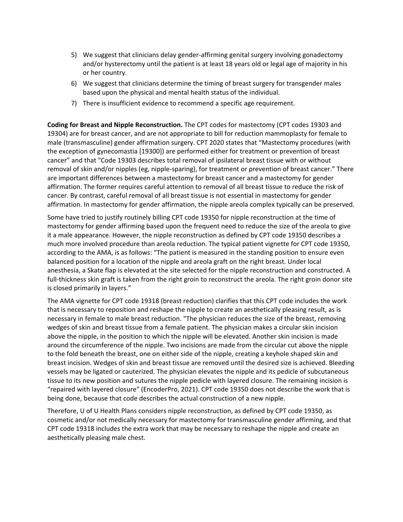- 5) We suggest that clinicians delay gender-affirming genital surgery involving gonadectomy and/or hysterectomy until the patient is at least 18 years old or legal age of majority in his or her country.
- 6) We suggest that clinicians determine the timing of breast surgery for transgender males based upon the physical and mental health status of the individual.
- 7) There is insufficient evidence to recommend a specific age requirement.

**Coding for Breast and Nipple Reconstruction.** The CPT codes for mastectomy (CPT codes 19303 and 19304) are for breast cancer, and are not appropriate to bill for reduction mammoplasty for female to male (transmasculine) gender affirmation surgery. CPT 2020 states that "Mastectomy procedures (with the exception of gynecomastia [19300]) are performed either for treatment or prevention of breast cancer" and that "Code 19303 describes total removal of ipsilateral breast tissue with or without removal of skin and/or nipples (eg, nipple-sparing), for treatment or prevention of breast cancer." There are important differences between a mastectomy for breast cancer and a mastectomy for gender affirmation. The former requires careful attention to removal of all breast tissue to reduce the risk of cancer. By contrast, careful removal of all breast tissue is not essential in mastectomy for gender affirmation. In mastectomy for gender affirmation, the nipple areola complex typically can be preserved.

Some have tried to justify routinely billing CPT code 19350 for nipple reconstruction at the time of mastectomy for gender affirming based upon the frequent need to reduce the size of the areola to give it a male appearance. However, the nipple reconstruction as defined by CPT code 19350 describes a much more involved procedure than areola reduction. The typical patient vignette for CPT code 19350, according to the AMA, is as follows: "The patient is measured in the standing position to ensure even balanced position for a location of the nipple and areola graft on the right breast. Under local anesthesia, a Skate flap is elevated at the site selected for the nipple reconstruction and constructed. A full-thickness skin graft is taken from the right groin to reconstruct the areola. The right groin donor site is closed primarily in layers."

The AMA vignette for CPT code 19318 (breast reduction) clarifies that this CPT code includes the work that is necessary to reposition and reshape the nipple to create an aesthetically pleasing result, as is necessary in female to male breast reduction. "The physician reduces the size of the breast, removing wedges of skin and breast tissue from a female patient. The physician makes a circular skin incision above the nipple, in the position to which the nipple will be elevated. Another skin incision is made around the circumference of the nipple. Two incisions are made from the circular cut above the nipple to the fold beneath the breast, one on either side of the nipple, creating a keyhole shaped skin and breast incision. Wedges of skin and breast tissue are removed until the desired size is achieved. Bleeding vessels may be ligated or cauterized. The physician elevates the nipple and its pedicle of subcutaneous tissue to its new position and sutures the nipple pedicle with layered closure. The remaining incision is "repaired with layered closure" (EncoderPro, 2021). CPT code 19350 does not describe the work that is being done, because that code describes the actual construction of a new nipple.

Therefore, U of U Health Plans considers nipple reconstruction, as defined by CPT code 19350, as cosmetic and/or not medically necessary for mastectomy for transmasculine gender affirming, and that CPT code 19318 includes the extra work that may be necessary to reshape the nipple and create an aesthetically pleasing male chest.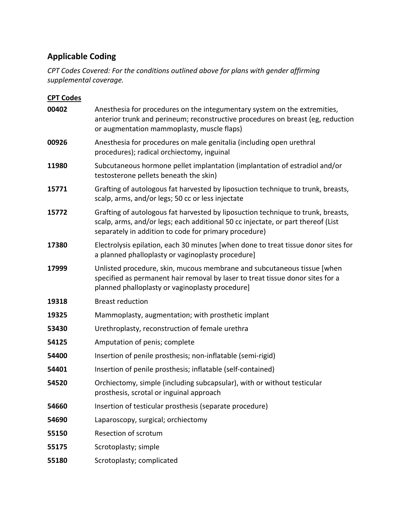# **Applicable Coding**

*CPT Codes Covered: For the conditions outlined above for plans with gender affirming supplemental coverage.*

| <b>CPT Codes</b> |                                                                                                                                                                                                                               |
|------------------|-------------------------------------------------------------------------------------------------------------------------------------------------------------------------------------------------------------------------------|
| 00402            | Anesthesia for procedures on the integumentary system on the extremities,<br>anterior trunk and perineum; reconstructive procedures on breast (eg, reduction<br>or augmentation mammoplasty, muscle flaps)                    |
| 00926            | Anesthesia for procedures on male genitalia (including open urethral<br>procedures); radical orchiectomy, inguinal                                                                                                            |
| 11980            | Subcutaneous hormone pellet implantation (implantation of estradiol and/or<br>testosterone pellets beneath the skin)                                                                                                          |
| 15771            | Grafting of autologous fat harvested by liposuction technique to trunk, breasts,<br>scalp, arms, and/or legs; 50 cc or less injectate                                                                                         |
| 15772            | Grafting of autologous fat harvested by liposuction technique to trunk, breasts,<br>scalp, arms, and/or legs; each additional 50 cc injectate, or part thereof (List<br>separately in addition to code for primary procedure) |
| 17380            | Electrolysis epilation, each 30 minutes [when done to treat tissue donor sites for<br>a planned phalloplasty or vaginoplasty procedure]                                                                                       |
| 17999            | Unlisted procedure, skin, mucous membrane and subcutaneous tissue [when<br>specified as permanent hair removal by laser to treat tissue donor sites for a<br>planned phalloplasty or vaginoplasty procedure]                  |
| 19318            | <b>Breast reduction</b>                                                                                                                                                                                                       |
| 19325            | Mammoplasty, augmentation; with prosthetic implant                                                                                                                                                                            |
| 53430            | Urethroplasty, reconstruction of female urethra                                                                                                                                                                               |
| 54125            | Amputation of penis; complete                                                                                                                                                                                                 |
| 54400            | Insertion of penile prosthesis; non-inflatable (semi-rigid)                                                                                                                                                                   |
| 54401            | Insertion of penile prosthesis; inflatable (self-contained)                                                                                                                                                                   |
| 54520            | Orchiectomy, simple (including subcapsular), with or without testicular<br>prosthesis, scrotal or inguinal approach                                                                                                           |
| 54660            | Insertion of testicular prosthesis (separate procedure)                                                                                                                                                                       |
| 54690            | Laparoscopy, surgical; orchiectomy                                                                                                                                                                                            |
| 55150            | Resection of scrotum                                                                                                                                                                                                          |
| 55175            | Scrotoplasty; simple                                                                                                                                                                                                          |
| 55180            | Scrotoplasty; complicated                                                                                                                                                                                                     |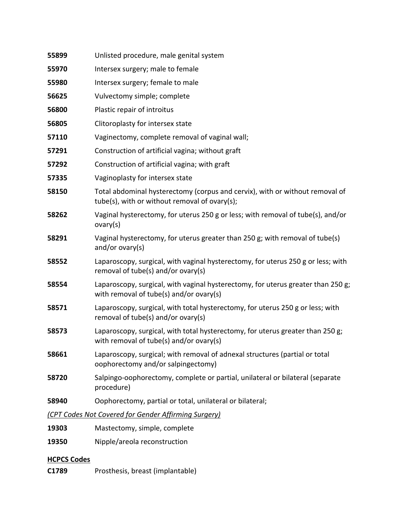| 55899                                                | Unlisted procedure, male genital system                                                                                       |
|------------------------------------------------------|-------------------------------------------------------------------------------------------------------------------------------|
| 55970                                                | Intersex surgery; male to female                                                                                              |
| 55980                                                | Intersex surgery; female to male                                                                                              |
| 56625                                                | Vulvectomy simple; complete                                                                                                   |
| 56800                                                | Plastic repair of introitus                                                                                                   |
| 56805                                                | Clitoroplasty for intersex state                                                                                              |
| 57110                                                | Vaginectomy, complete removal of vaginal wall;                                                                                |
| 57291                                                | Construction of artificial vagina; without graft                                                                              |
| 57292                                                | Construction of artificial vagina; with graft                                                                                 |
| 57335                                                | Vaginoplasty for intersex state                                                                                               |
| 58150                                                | Total abdominal hysterectomy (corpus and cervix), with or without removal of<br>tube(s), with or without removal of ovary(s); |
| 58262                                                | Vaginal hysterectomy, for uterus 250 g or less; with removal of tube(s), and/or<br>ovary(s)                                   |
| 58291                                                | Vaginal hysterectomy, for uterus greater than 250 g; with removal of tube(s)<br>and/or ovary $(s)$                            |
| 58552                                                | Laparoscopy, surgical, with vaginal hysterectomy, for uterus 250 g or less; with<br>removal of tube(s) and/or ovary(s)        |
| 58554                                                | Laparoscopy, surgical, with vaginal hysterectomy, for uterus greater than 250 g;<br>with removal of tube(s) and/or ovary(s)   |
| 58571                                                | Laparoscopy, surgical, with total hysterectomy, for uterus 250 g or less; with<br>removal of tube(s) and/or ovary(s)          |
| 58573                                                | Laparoscopy, surgical, with total hysterectomy, for uterus greater than 250 g;<br>with removal of tube(s) and/or ovary(s)     |
| 58661                                                | Laparoscopy, surgical; with removal of adnexal structures (partial or total<br>oophorectomy and/or salpingectomy)             |
| 58720                                                | Salpingo-oophorectomy, complete or partial, unilateral or bilateral (separate<br>procedure)                                   |
| 58940                                                | Oophorectomy, partial or total, unilateral or bilateral;                                                                      |
| (CPT Codes Not Covered for Gender Affirming Surgery) |                                                                                                                               |
| 19303                                                | Mastectomy, simple, complete                                                                                                  |

Nipple/areola reconstruction

## **HCPCS Codes**

**C1789** Prosthesis, breast (implantable)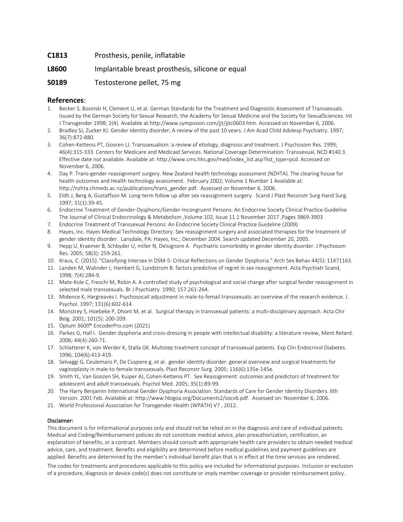#### **C1813** Prosthesis, penile, inflatable

#### **L8600** Implantable breast prosthesis, silicone or equal

#### **S0189** Testosterone pellet, 75 mg

#### **References**:

- 1. Becker S, Bosinski H, Clement U, et al. German Standards for the Treatment and Diagnostic Assessment of Transsexuals. Issued by the German Society for Sexual Research, the Academy for Sexual Medicine and the Society for SexualSciences. Int J Transgender 1998; 2(4). Available at http://www.symposion.com/jjt/jjtc0603.htm. Accessed on November 6, 2006.
- 2. Bradley SJ, Zucker KJ. Gender identity disorder; A review of the past 10 years. J Am Acad Child Adolesp Psychiatry. 1997; 36(7):872-880.
- 3. Cohen-Kettenis PT, Gooren LJ. Transsexualism: a review of etiology, diagnosis and treatment. J Psychosom Res. 1999; 46(4):315-333. Centers for Medicare and Medicaid Services. National Coverage Determination: Transsexual, NCD #140.3. Effective date not available. Available at: http://www.cms.hhs.gov/med/index\_list.asp?list\_type=pcd. Accessed on November 6, 2006.
- 4. Day P. Trans-gender reassignment surgery. New Zealand health technology assessment (NZHTA). The clearing house for health outcomes and Health technology assessment. February 2002; Volume 1 Number 1 Available at: http://nzhta.chmeds.ac.nz/publications/trans\_gender.pdf. Assessed on November 6, 2006.
- 5. Eldh J, Berg A, Gustaffson M. Long-term follow up after sex reassignment surgery. Scand J Plast Reconstr Surg Hand Surg. 1997; 31(1):39-45.
- 6. Endocrine Treatment of Gender-Dysphoric/Gender-Incongruent Persons: An Endocrine Society Clinical Practice Guideline The Journal of Clinical Endocrinology & Metabolism ,Volume 102, Issue 11 1 November 2017 ,Pages 3869-3903
- 7. Endocrine Treatment of Transsexual Persons: An Endocrine Society Clinical Practice Guideline (2009)
- 8. Hayes, Inc. Hayes Medical Technology Directory. Sex reassignment surgery and associated therapies for the treatment of gender identity disorder. Lansdale, PA: Hayes, Inc.; December 2004. Search updated December 20, 2005.
- 9. Hepp U, Kraemer B, Schbyder U, miller N, Delsignore A. Psychiatric comorbidity in gender identity disorder. J Psychosom Res. 2005; 58(3): 259-261.
- 10. Kraus, C. (2015). "Classifying Intersex in DSM-5: Critical Reflections on Gender Dysphoria." Arch Sex Behav 44(5): 11471163.
- 11. Landen M, Walinder J, Hambert G, Lundstrom B. factors predictive of regret in sex reassignment. Acta Psychiatr Scand, 1998; 7(4):284-9.
- 12. Mate-Kole C, Freschi M, Robin A. A controlled study of psychological and social change after surgical fender reassignment in selected male transsexuals. Br J Psychiatry. 1990; 157:261-264.
- 13. Midence K, Hargreaves I. Psychosocail adjustment in male-to-femail transsexuals: an overview of the research evidence. J. Psychol. 1997; 131(6):602-614.
- 14. Monstrey S, Hoebeke P, Dhont M, et al. Surgical therapy in transsexual patients: a multi-disciplinary approach. Acta Chir Belg. 2001; 101(5): 200-209.
- 15. Optum 360® EncoderPro.com (2021)
- 16. Parkes G, Hall I. Gender dysphoria and cross-dressing in people with intellectual disability: a literature review, Ment Retard. 2006; 44(4):260-71.
- 17. Schlatterer K, von Werder K, Stalla GK. Multstep treatment concept of transsexual patients. Exp Clin Endocrinol Diabetes. 1996; 104(6):413-419.
- 18. Selvaggi G, Ceulemans P, De Cuypere g, et al. gender identity disorder: general overview and surgical treatments for vaginoplasty in male-to-female transsexuals. Plast Reconstr Surg. 2005; 116(6):135e-145e.
- 19. Smith YL, Van Goozen SH, Kuiper AJ, Cohen-Kettenis PT. Sex Reassignment: outcomes and predictors of treatment for adolescent and adult transsexuals. Psychol Med. 2005; 35(1):89-99.
- 20. The Harry Benjamin International Gender Dysphoria Association. Standards of Care for Gender Identity Disorders. 6th Version. 2001 Feb. Available at: http://www.hbigoa.org/Documents2/socv6.pdf. Assessed on: November 6, 2006.
- 21. World Professional Association for Transgender Health (WPATH) V7 , 2012.

#### Disclaimer:

This document is for informational purposes only and should not be relied on in the diagnosis and care of individual patients. Medical and Coding/Reimbursement policies do not constitute medical advice, plan preauthorization, certification, an explanation of benefits, or a contract. Members should consult with appropriate health care providers to obtain needed medical advice, care, and treatment. Benefits and eligibility are determined before medical guidelines and payment guidelines are applied. Benefits are determined by the member's individual benefit plan that is in effect at the time services are rendered.

The codes for treatments and procedures applicable to this policy are included for informational purposes. Inclusion or exclusion of a procedure, diagnosis or device code(s) does not constitute or imply member coverage or provider reimbursement policy.